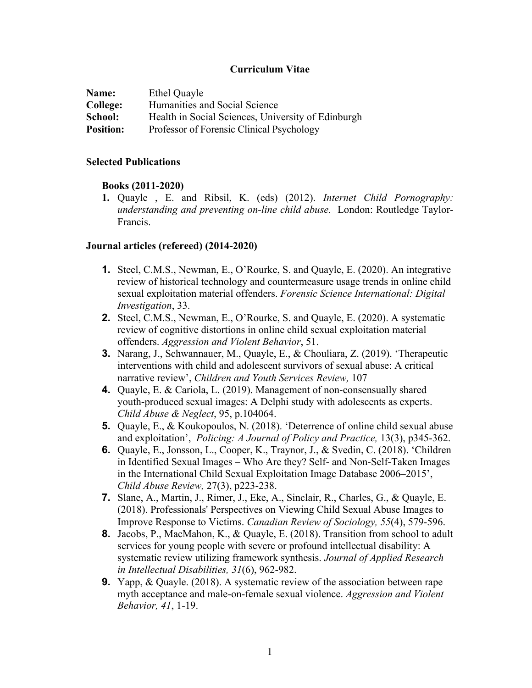## **Curriculum Vitae**

| Name:            | Ethel Quayle                                       |
|------------------|----------------------------------------------------|
| College:         | Humanities and Social Science                      |
| School:          | Health in Social Sciences, University of Edinburgh |
| <b>Position:</b> | Professor of Forensic Clinical Psychology          |

#### **Selected Publications**

### **Books (2011-2020)**

**1.** Quayle , E. and Ribsil, K. (eds) (2012). *Internet Child Pornography: understanding and preventing on-line child abuse.* London: Routledge Taylor-Francis.

### **Journal articles (refereed) (2014-2020)**

- **1.** Steel, C.M.S., Newman, E., O'Rourke, S. and Quayle, E. (2020). An integrative review of historical technology and countermeasure usage trends in online child sexual exploitation material offenders. *Forensic Science International: Digital Investigation*, 33.
- **2.** Steel, C.M.S., Newman, E., O'Rourke, S. and Quayle, E. (2020). A systematic review of cognitive distortions in online child sexual exploitation material offenders. *Aggression and Violent Behavior*, 51.
- **3.** Narang, J., Schwannauer, M., Quayle, E., & Chouliara, Z. (2019). 'Therapeutic interventions with child and adolescent survivors of sexual abuse: A critical narrative review', *Children and Youth Services Review,* 107
- **4.** Quayle, E. & Cariola, L. (2019). Management of non-consensually shared youth-produced sexual images: A Delphi study with adolescents as experts. *Child Abuse & Neglect*, 95, p.104064.
- **5.** Quayle, E., & Koukopoulos, N. (2018). 'Deterrence of online child sexual abuse and exploitation', *Policing: A Journal of Policy and Practice,* 13(3), p345-362.
- **6.** Quayle, E., Jonsson, L., Cooper, K., Traynor, J., & Svedin, C. (2018). 'Children in Identified Sexual Images – Who Are they? Self‐ and Non‐Self‐Taken Images in the International Child Sexual Exploitation Image Database 2006–2015', *Child Abuse Review,* 27(3), p223-238.
- **7.** Slane, A., Martin, J., Rimer, J., Eke, A., Sinclair, R., Charles, G., & Quayle, E. (2018). Professionals' Perspectives on Viewing Child Sexual Abuse Images to Improve Response to Victims. *Canadian Review of Sociology, 55*(4), 579-596.
- **8.** Jacobs, P., MacMahon, K., & Quayle, E. (2018). Transition from school to adult services for young people with severe or profound intellectual disability: A systematic review utilizing framework synthesis. *Journal of Applied Research in Intellectual Disabilities, 31*(6), 962-982.
- **9.** Yapp, & Quayle. (2018). A systematic review of the association between rape myth acceptance and male-on-female sexual violence. *Aggression and Violent Behavior, 41*, 1-19.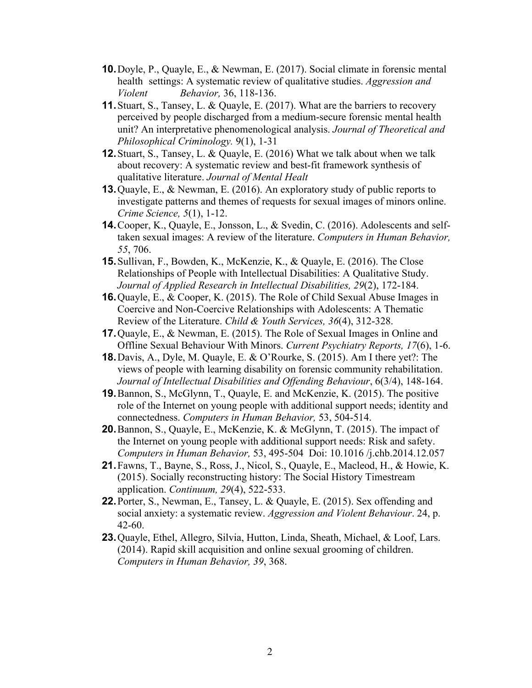- **10.**Doyle, P., Quayle, E., & Newman, E. (2017). Social climate in forensic mental health settings: A systematic review of qualitative studies. *Aggression and Violent Behavior,* 36, 118-136.
- **11.** Stuart, S., Tansey, L. & Quayle, E. (2017). What are the barriers to recovery perceived by people discharged from a medium-secure forensic mental health unit? An interpretative phenomenological analysis. *Journal of Theoretical and Philosophical Criminology.* 9(1), 1-31
- **12.**Stuart, S., Tansey, L. & Quayle, E. (2016) What we talk about when we talk about recovery: A systematic review and best-fit framework synthesis of qualitative literature. *Journal of Mental Healt*
- **13.**Quayle, E., & Newman, E. (2016). An exploratory study of public reports to investigate patterns and themes of requests for sexual images of minors online. *Crime Science, 5*(1), 1-12.
- **14.**Cooper, K., Quayle, E., Jonsson, L., & Svedin, C. (2016). Adolescents and selftaken sexual images: A review of the literature. *Computers in Human Behavior, 55*, 706.
- **15.**Sullivan, F., Bowden, K., McKenzie, K., & Quayle, E. (2016). The Close Relationships of People with Intellectual Disabilities: A Qualitative Study. *Journal of Applied Research in Intellectual Disabilities, 29*(2), 172-184.
- **16.**Quayle, E., & Cooper, K. (2015). The Role of Child Sexual Abuse Images in Coercive and Non-Coercive Relationships with Adolescents: A Thematic Review of the Literature. *Child & Youth Services, 36*(4), 312-328.
- **17.**Quayle, E., & Newman, E. (2015). The Role of Sexual Images in Online and Offline Sexual Behaviour With Minors. *Current Psychiatry Reports, 17*(6), 1-6.
- **18.**Davis, A., Dyle, M. Quayle, E. & O'Rourke, S. (2015). Am I there yet?: The views of people with learning disability on forensic community rehabilitation. *Journal of Intellectual Disabilities and Offending Behaviour*, 6(3/4), 148-164.
- **19.**Bannon, S., McGlynn, T., Quayle, E. and McKenzie, K. (2015). The positive role of the Internet on young people with additional support needs; identity and connectedness. *Computers in Human Behavior,* 53, 504-514.
- **20.**Bannon, S., Quayle, E., McKenzie, K. & McGlynn, T. (2015). The impact of the Internet on young people with additional support needs: Risk and safety. *Computers in Human Behavior,* 53, 495-504 Doi: 10.1016 /j.chb.2014.12.057
- **21.**Fawns, T., Bayne, S., Ross, J., Nicol, S., Quayle, E., Macleod, H., & Howie, K. (2015). Socially reconstructing history: The Social History Timestream application. *Continuum, 29*(4), 522-533.
- **22.**Porter, S., Newman, E., Tansey, L. & Quayle, E. (2015). Sex offending and social anxiety: a systematic review. *Aggression and Violent Behaviour*. 24, p. 42-60.
- **23.**Quayle, Ethel, Allegro, Silvia, Hutton, Linda, Sheath, Michael, & Loof, Lars. (2014). Rapid skill acquisition and online sexual grooming of children. *Computers in Human Behavior, 39*, 368.